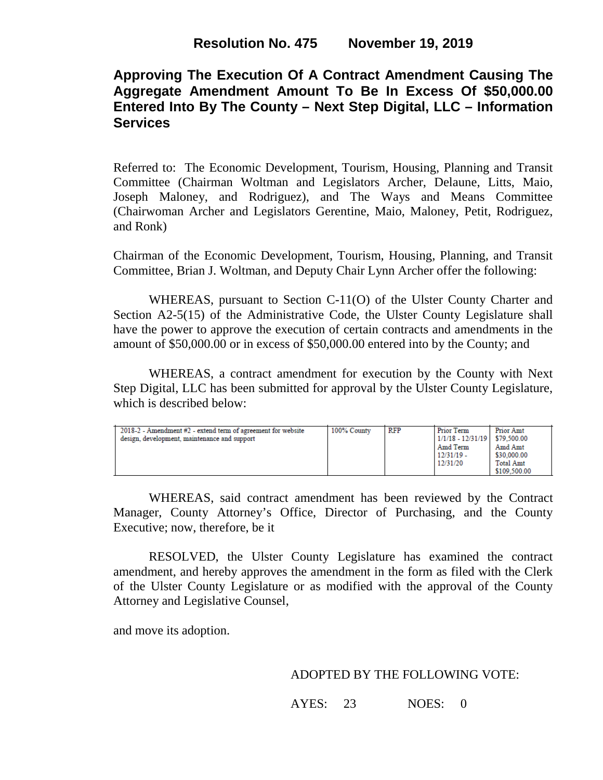# **Approving The Execution Of A Contract Amendment Causing The Aggregate Amendment Amount To Be In Excess Of \$50,000.00 Entered Into By The County – Next Step Digital, LLC – Information Services**

Referred to: The Economic Development, Tourism, Housing, Planning and Transit Committee (Chairman Woltman and Legislators Archer, Delaune, Litts, Maio, Joseph Maloney, and Rodriguez), and The Ways and Means Committee (Chairwoman Archer and Legislators Gerentine, Maio, Maloney, Petit, Rodriguez, and Ronk)

Chairman of the Economic Development, Tourism, Housing, Planning, and Transit Committee, Brian J. Woltman, and Deputy Chair Lynn Archer offer the following:

WHEREAS, pursuant to Section C-11(O) of the Ulster County Charter and Section A2-5(15) of the Administrative Code, the Ulster County Legislature shall have the power to approve the execution of certain contracts and amendments in the amount of \$50,000.00 or in excess of \$50,000.00 entered into by the County; and

WHEREAS, a contract amendment for execution by the County with Next Step Digital, LLC has been submitted for approval by the Ulster County Legislature, which is described below:

| $2018-2$ - Amendment #2 - extend term of agreement for website<br>design, development, maintenance and support | 100% County | RFP | Prior Term<br>1/1/18 - 12/31/19   \$79.500.00<br>Amd Term<br>$12/31/19$ -<br>12/31/20 | <b>Prior Amt</b><br>Amd Amt<br>\$30,000.00<br><b>Total Amt</b> |
|----------------------------------------------------------------------------------------------------------------|-------------|-----|---------------------------------------------------------------------------------------|----------------------------------------------------------------|
|                                                                                                                |             |     |                                                                                       | \$109,500.00                                                   |

WHEREAS, said contract amendment has been reviewed by the Contract Manager, County Attorney's Office, Director of Purchasing, and the County Executive; now, therefore, be it

RESOLVED, the Ulster County Legislature has examined the contract amendment, and hereby approves the amendment in the form as filed with the Clerk of the Ulster County Legislature or as modified with the approval of the County Attorney and Legislative Counsel,

and move its adoption.

### ADOPTED BY THE FOLLOWING VOTE:

AYES: 23 NOES: 0